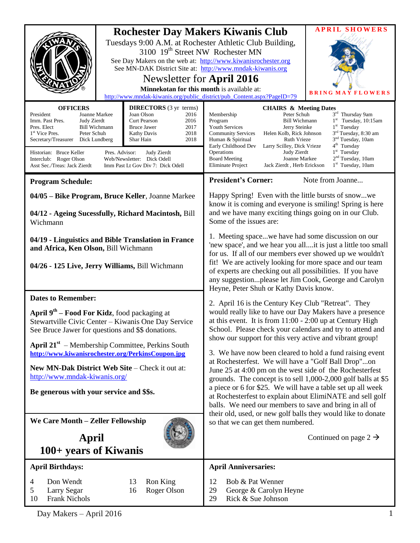| <b>OFFICERS</b><br>President<br>Joanne Markee<br>Imm. Past Pres.<br>Judy Zierdt<br>Pres. Elect<br><b>Bill Wichmann</b><br>Peter Schuh<br>1 <sup>st</sup> Vice Pres.<br>Secretary/Treasurer<br>Dick Lundberg<br>Historian: Bruce Keller<br>Interclub: Roger Olson<br>Asst Sec./Treas: Jack Zierdt                                                                                                                                                                          | 3100 19 <sup>th</sup> Street NW Rochester MN<br>Newsletter for April 2016<br>Minnekotan for this month is available at:<br><b>DIRECTORS</b> (3 yr terms)<br>Joan Olson<br>2016<br>2016<br><b>Curt Pearson</b><br>2017<br><b>Bruce Jawer</b><br><b>Kathy Davis</b><br>2018<br>2018<br>Shar Hain<br>Pres. Advisor:<br>Judy Zierdt<br>Web/Newsletter: Dick Odell<br>Imm Past Lt Gov Div 7: Dick Odell | <b>Rochester Day Makers Kiwanis Club</b><br>Tuesdays 9:00 A.M. at Rochester Athletic Club Building,<br>See Day Makers on the web at: http://www.kiwanisrochester.org<br>See MN-DAK District Site at: http://www.mndak-kiwanis.org<br>http://www.mndak-kiwanis.org/public_district/pub_Content.aspx?PageID=79<br><b>CHAIRS &amp; Meeting Dates</b><br>Peter Schuh<br>Membership<br>Program<br><b>Bill Wichmann</b><br><b>Youth Services</b><br>Jerry Steinke<br><b>Community Services</b><br>Helen Kolb, Rick Johnson<br>Human & Spiritual<br><b>Ruth Vrieze</b><br>Early Childhood Dev<br>Larry Scilley, Dick Vrieze<br>Operations<br>Judy Zierdt<br><b>Board Meeting</b><br>Joanne Markee<br>Eliminate Project<br>Jack Zierdt, Herb Erickson                                                                                                                                                                                                                                                                                          | <b>APRIL SHOWERS</b><br><b>BRING MAY FLOWERS</b><br>3rd Thursday 9am<br>$1st$ Tuesday, 10:15am<br>$1st$ Tuesday<br>3 <sup>rd</sup> Tuesday, 8:30 am<br>3 <sup>nd</sup> Tuesday, 10am<br>4 <sup>th</sup> Tuesday<br>$1st$ Tuesday<br>2 <sup>nd</sup> Tuesday, 10am |  |  |  |  |
|---------------------------------------------------------------------------------------------------------------------------------------------------------------------------------------------------------------------------------------------------------------------------------------------------------------------------------------------------------------------------------------------------------------------------------------------------------------------------|----------------------------------------------------------------------------------------------------------------------------------------------------------------------------------------------------------------------------------------------------------------------------------------------------------------------------------------------------------------------------------------------------|----------------------------------------------------------------------------------------------------------------------------------------------------------------------------------------------------------------------------------------------------------------------------------------------------------------------------------------------------------------------------------------------------------------------------------------------------------------------------------------------------------------------------------------------------------------------------------------------------------------------------------------------------------------------------------------------------------------------------------------------------------------------------------------------------------------------------------------------------------------------------------------------------------------------------------------------------------------------------------------------------------------------------------------|-------------------------------------------------------------------------------------------------------------------------------------------------------------------------------------------------------------------------------------------------------------------|--|--|--|--|
| <b>Program Schedule:</b>                                                                                                                                                                                                                                                                                                                                                                                                                                                  |                                                                                                                                                                                                                                                                                                                                                                                                    | 1 <sup>st</sup> Tuesday, 10am<br><b>President's Corner:</b><br>Note from Joanne                                                                                                                                                                                                                                                                                                                                                                                                                                                                                                                                                                                                                                                                                                                                                                                                                                                                                                                                                        |                                                                                                                                                                                                                                                                   |  |  |  |  |
| 04/05 - Bike Program, Bruce Keller, Joanne Markee<br>04/12 - Ageing Sucessfully, Richard Macintosh, Bill<br>Wichmann                                                                                                                                                                                                                                                                                                                                                      |                                                                                                                                                                                                                                                                                                                                                                                                    | Happy Spring! Even with the little bursts of snowwe<br>know it is coming and everyone is smiling! Spring is here<br>and we have many exciting things going on in our Club.<br>Some of the issues are:                                                                                                                                                                                                                                                                                                                                                                                                                                                                                                                                                                                                                                                                                                                                                                                                                                  |                                                                                                                                                                                                                                                                   |  |  |  |  |
| 04/19 - Linguistics and Bible Translation in France<br>and Africa, Ken Olson, Bill Wichmann<br>04/26 - 125 Live, Jerry Williams, Bill Wichmann                                                                                                                                                                                                                                                                                                                            |                                                                                                                                                                                                                                                                                                                                                                                                    | 1. Meeting spacewe have had some discussion on our<br>'new space', and we hear you allit is just a little too small<br>for us. If all of our members ever showed up we wouldn't<br>fit! We are actively looking for more space and our team<br>of experts are checking out all possibilities. If you have<br>any suggestionplease let Jim Cook, George and Carolyn<br>Heyne, Peter Shuh or Kathy Davis know.<br>2. April 16 is the Century Key Club "Retreat". They<br>would really like to have our Day Makers have a presence<br>at this event. It is from $11:00 - 2:00$ up at Century High<br>School. Please check your calendars and try to attend and<br>show our support for this very active and vibrant group!<br>3. We have now been cleared to hold a fund raising event<br>at Rochesterfest. We will have a "Golf Ball Drop"on<br>June 25 at 4:00 pm on the west side of the Rochesterfest<br>grounds. The concept is to sell 1,000-2,000 golf balls at \$5<br>a piece or 6 for \$25. We will have a table set up all week |                                                                                                                                                                                                                                                                   |  |  |  |  |
| <b>Dates to Remember:</b><br><b>April <math>9^{th}</math> – Food For Kidz</b> , food packaging at<br>Stewartville Civic Center - Kiwanis One Day Service<br>See Bruce Jawer for questions and \$\$ donations.<br><b>April 21</b> <sup>st</sup> – Membership Committee, Perkins South<br>http://www.kiwanisrochester.org/PerkinsCoupon.jpg<br>New MN-Dak District Web Site – Check it out at:<br>http://www.mndak-kiwanis.org/<br>Be generous with your service and \$\$s. |                                                                                                                                                                                                                                                                                                                                                                                                    |                                                                                                                                                                                                                                                                                                                                                                                                                                                                                                                                                                                                                                                                                                                                                                                                                                                                                                                                                                                                                                        |                                                                                                                                                                                                                                                                   |  |  |  |  |
|                                                                                                                                                                                                                                                                                                                                                                                                                                                                           |                                                                                                                                                                                                                                                                                                                                                                                                    | at Rochesterfest to explain about ElimiNATE and sell golf<br>balls. We need our members to save and bring in all of<br>their old, used, or new golf balls they would like to donate                                                                                                                                                                                                                                                                                                                                                                                                                                                                                                                                                                                                                                                                                                                                                                                                                                                    |                                                                                                                                                                                                                                                                   |  |  |  |  |
| We Care Month - Zeller Fellowship<br>April<br>100+ years of Kiwanis                                                                                                                                                                                                                                                                                                                                                                                                       |                                                                                                                                                                                                                                                                                                                                                                                                    | so that we can get them numbered.<br>Continued on page $2 \rightarrow$                                                                                                                                                                                                                                                                                                                                                                                                                                                                                                                                                                                                                                                                                                                                                                                                                                                                                                                                                                 |                                                                                                                                                                                                                                                                   |  |  |  |  |
| <b>April Birthdays:</b>                                                                                                                                                                                                                                                                                                                                                                                                                                                   |                                                                                                                                                                                                                                                                                                                                                                                                    | <b>April Anniversaries:</b>                                                                                                                                                                                                                                                                                                                                                                                                                                                                                                                                                                                                                                                                                                                                                                                                                                                                                                                                                                                                            |                                                                                                                                                                                                                                                                   |  |  |  |  |
| Don Wendt<br>4<br>Larry Segar<br>5<br><b>Frank Nichols</b><br>10                                                                                                                                                                                                                                                                                                                                                                                                          | 13<br>Ron King<br>Roger Olson<br>16                                                                                                                                                                                                                                                                                                                                                                | Bob & Pat Wenner<br>12<br>29<br>George & Carolyn Heyne<br>29<br>Rick & Sue Johnson                                                                                                                                                                                                                                                                                                                                                                                                                                                                                                                                                                                                                                                                                                                                                                                                                                                                                                                                                     |                                                                                                                                                                                                                                                                   |  |  |  |  |

Day Makers – April 2016 1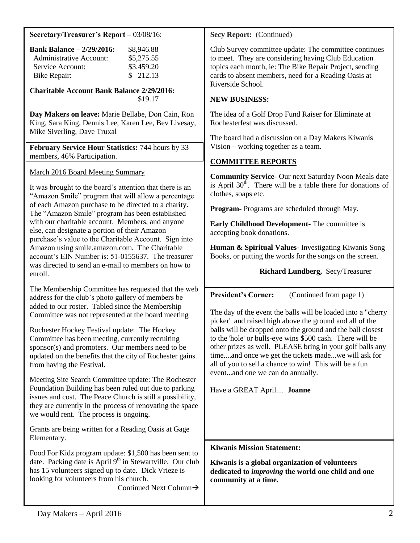#### **Secretary/Treasurer's Report** – 03/08/16:

| <b>Bank Balance - 2/29/2016:</b> | \$8,946.88 |
|----------------------------------|------------|
| Administrative Account:          | \$5,275.55 |
| Service Account:                 | \$3,459.20 |
| Bike Repair:                     | \$ 212.13  |

**Charitable Account Bank Balance 2/29/2016:** \$19.17

**Day Makers on leave:** Marie Bellabe, Don Cain, Ron King, Sara King, Dennis Lee, Karen Lee, Bev Livesay, Mike Siverling, Dave Truxal

**February Service Hour Statistics:** 744 hours by 33 members, 46% Participation.

March 2016 Board Meeting Summary

It was brought to the board's attention that there is an "Amazon Smile" program that will allow a percentage of each Amazon purchase to be directed to a charity. The "Amazon Smile" program has been established with our charitable account. Members, and anyone else, can designate a portion of their Amazon purchase's value to the Charitable Account. Sign into Amazon using smile.amazon.com. The Charitable account's EIN Number is: 51-0155637. The treasurer was directed to send an e-mail to members on how to enroll.

The Membership Committee has requested that the web address for the club's photo gallery of members be added to our roster. Tabled since the Membership Committee was not represented at the board meeting

Rochester Hockey Festival update: The Hockey Committee has been meeting, currently recruiting sponsor(s) and promoters. Our members need to be updated on the benefits that the city of Rochester gains from having the Festival.

Meeting Site Search Committee update: The Rochester Foundation Building has been ruled out due to parking issues and cost. The Peace Church is still a possibility, they are currently in the process of renovating the space we would rent. The process is ongoing.

Grants are being written for a Reading Oasis at Gage Elementary.

Food For Kidz program update: \$1,500 has been sent to date. Packing date is April 9<sup>th</sup> in Stewartville. Our club has 15 volunteers signed up to date. Dick Vrieze is looking for volunteers from his church.

Continued Next Column

**Secy Report:** (Continued)

Club Survey committee update: The committee continues to meet. They are considering having Club Education topics each month, ie: The Bike Repair Project, sending cards to absent members, need for a Reading Oasis at Riverside School.

## **NEW BUSINESS:**

The idea of a Golf Drop Fund Raiser for Eliminate at Rochesterfest was discussed.

The board had a discussion on a Day Makers Kiwanis Vision – working together as a team.

# **COMMITTEE REPORTS**

**Community Service-** Our next Saturday Noon Meals date is April  $30<sup>th</sup>$ . There will be a table there for donations of clothes, soaps etc.

**Program-** Programs are scheduled through May.

**Early Childhood Development-** The committee is accepting book donations.

**Human & Spiritual Values-** Investigating Kiwanis Song Books, or putting the words for the songs on the screen.

**Richard Lundberg,** Secy/Treasurer

**President's Corner:** (Continued from page 1)

The day of the event the balls will be loaded into a "cherry picker' and raised high above the ground and all of the balls will be dropped onto the ground and the ball closest to the 'hole' or bulls-eye wins \$500 cash. There will be other prizes as well. PLEASE bring in your golf balls any time....and once we get the tickets made...we will ask for all of you to sell a chance to win! This will be a fun event...and one we can do annually.

Have a GREAT April.... **Joanne**

**Kiwanis Mission Statement:**

**Kiwanis is a global organization of volunteers dedicated to** *improving* **the world one child and one community at a time.**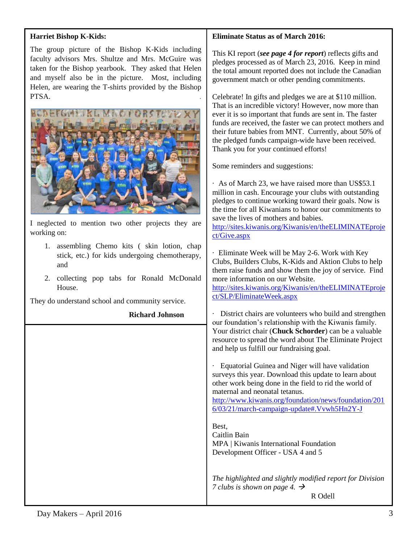### **Harriet Bishop K-Kids:**

The group picture of the Bishop K-Kids including faculty advisors Mrs. Shultze and Mrs. McGuire was taken for the Bishop yearbook. They asked that Helen and myself also be in the picture. Most, including Helen, are wearing the T-shirts provided by the Bishop PTSA.



I neglected to mention two other projects they are working on:

- 1. assembling Chemo kits ( skin lotion, chap stick, etc.) for kids undergoing chemotherapy, and
- 2. collecting pop tabs for Ronald McDonald House.

They do understand school and community service.

| ney do understand school and community service. | Costa / Emminate Week.aspx                                                                                                                                                                                                                                                                                    |
|-------------------------------------------------|---------------------------------------------------------------------------------------------------------------------------------------------------------------------------------------------------------------------------------------------------------------------------------------------------------------|
| <b>Richard Johnson</b>                          | District chairs are volunteers who build and strengthen<br>our foundation's relationship with the Kiwanis family.<br>Your district chair (Chuck Schorder) can be a valuable<br>resource to spread the word about The Eliminate Project<br>and help us fulfill our fundraising goal.                           |
|                                                 | Equatorial Guinea and Niger will have validation<br>surveys this year. Download this update to learn about<br>other work being done in the field to rid the world of<br>maternal and neonatal tetanus.<br>http://www.kiwanis.org/foundation/news/foundation/201<br>6/03/21/march-campaign-update#.Vvwh5Hn2Y-J |
|                                                 | Best,<br>Caitlin Bain<br>MPA   Kiwanis International Foundation<br>Development Officer - USA 4 and 5                                                                                                                                                                                                          |
|                                                 | The highlighted and slightly modified report for Division<br>7 clubs is shown on page 4. $\rightarrow$<br>R Odell                                                                                                                                                                                             |

#### **Eliminate Status as of March 2016:**

This KI report (*see page 4 for report*) reflects gifts and pledges processed as of March 23, 2016. Keep in mind the total amount reported does not include the Canadian government match or other pending commitments.

Celebrate! In gifts and pledges we are at \$110 million. That is an incredible victory! However, now more than ever it is so important that funds are sent in. The faster funds are received, the faster we can protect mothers and their future babies from MNT. Currently, about 50% of the pledged funds campaign-wide have been received. Thank you for your continued efforts!

Some reminders and suggestions:

· As of March 23, we have raised more than US\$53.1 million in cash. Encourage your clubs with outstanding pledges to continue working toward their goals. Now is the time for all Kiwanians to honor our commitments to save the lives of mothers and babies.

[http://sites.kiwanis.org/Kiwanis/en/theELIMINATEproje](http://sites.kiwanis.org/Kiwanis/en/theELIMINATEproject/Give.aspx) [ct/Give.aspx](http://sites.kiwanis.org/Kiwanis/en/theELIMINATEproject/Give.aspx)

· Eliminate Week will be May 2-6. Work with Key Clubs, Builders Clubs, K-Kids and Aktion Clubs to help them raise funds and show them the joy of service. Find more information on our Website.

[http://sites.kiwanis.org/Kiwanis/en/theELIMINATEproje](http://sites.kiwanis.org/Kiwanis/en/theELIMINATEproject/SLP/EliminateWeek.aspx) ct/SLP/EliminateWeek aspx

 $Day \text{Makers} - April \, 2016$  3